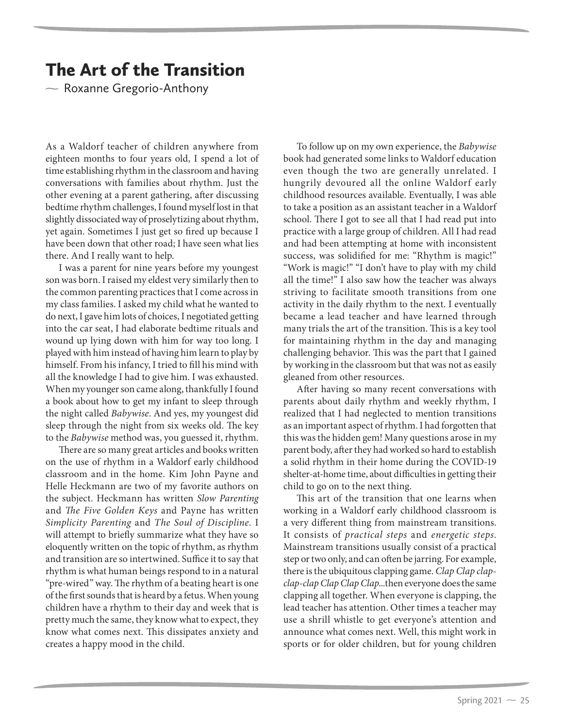## The Art of the Transition

 $\sim$  Roxanne Gregorio-Anthony  $\mathcal{C}$ 

As a Waldorf teacher of children anywhere from eighteen months to four years old, I spend a lot of time establishing rhythm in the classroom and having conversations with families about rhythm. Just the other evening at a parent gathering, after discussing bedtime rhythm challenges, I found myself lost in that slightly dissociated way of proselytizing about rhythm, yet again. Sometimes I just get so fired up because I have been down that other road; I have seen what lies there. And I really want to help.

I was a parent for nine years before my youngest son was born. I raised my eldest very similarly then to the common parenting practices that I come across in my class families. I asked my child what he wanted to do next, I gave him lots of choices, I negotiated getting into the car seat, I had elaborate bedtime rituals and wound up lying down with him for way too long. I played with him instead of having him learn to play by himself. From his infancy, I tried to fill his mind with all the knowledge I had to give him. I was exhausted. When my younger son came along, thankfully I found a book about how to get my infant to sleep through the night called *Babywise*. And yes, my youngest did sleep through the night from six weeks old. The key to the *Babywise* method was, you guessed it, rhythm.

There are so many great articles and books written on the use of rhythm in a Waldorf early childhood classroom and in the home. Kim John Payne and Helle Heckmann are two of my favorite authors on the subject. Heckmann has written *Slow Parenting* and *The Five Golden Keys* and Payne has written *Simplicity Parenting* and *The Soul of Discipline*. I will attempt to briefly summarize what they have so eloquently written on the topic of rhythm, as rhythm and transition are so intertwined. Suffice it to say that rhythm is what human beings respond to in a natural "pre-wired" way. The rhythm of a beating heart is one of the first sounds that is heard by a fetus. When young children have a rhythm to their day and week that is pretty much the same, they know what to expect, they know what comes next. This dissipates anxiety and creates a happy mood in the child.

To follow up on my own experience, the *Babywise* book had generated some links to Waldorf education even though the two are generally unrelated. I hungrily devoured all the online Waldorf early childhood resources available. Eventually, I was able to take a position as an assistant teacher in a Waldorf school. There I got to see all that I had read put into practice with a large group of children. All I had read and had been attempting at home with inconsistent success, was solidified for me: "Rhythm is magic!" "Work is magic!" "I don't have to play with my child all the time!" I also saw how the teacher was always striving to facilitate smooth transitions from one activity in the daily rhythm to the next. I eventually became a lead teacher and have learned through many trials the art of the transition. This is a key tool for maintaining rhythm in the day and managing challenging behavior. This was the part that I gained by working in the classroom but that was not as easily gleaned from other resources.

After having so many recent conversations with parents about daily rhythm and weekly rhythm, I realized that I had neglected to mention transitions as an important aspect of rhythm. I had forgotten that this was the hidden gem! Many questions arose in my parent body, after they had worked so hard to establish a solid rhythm in their home during the COVID-19 shelter-at-home time, about difficulties in getting their child to go on to the next thing.

This art of the transition that one learns when working in a Waldorf early childhood classroom is a very different thing from mainstream transitions. It consists of *practical steps* and *energetic steps*. Mainstream transitions usually consist of a practical step or two only, and can often be jarring. For example, there is the ubiquitous clapping game. *Clap Clap clapclap-clap Clap Clap Clap*...then everyone does the same clapping all together. When everyone is clapping, the lead teacher has attention. Other times a teacher may use a shrill whistle to get everyone's attention and announce what comes next. Well, this might work in sports or for older children, but for young children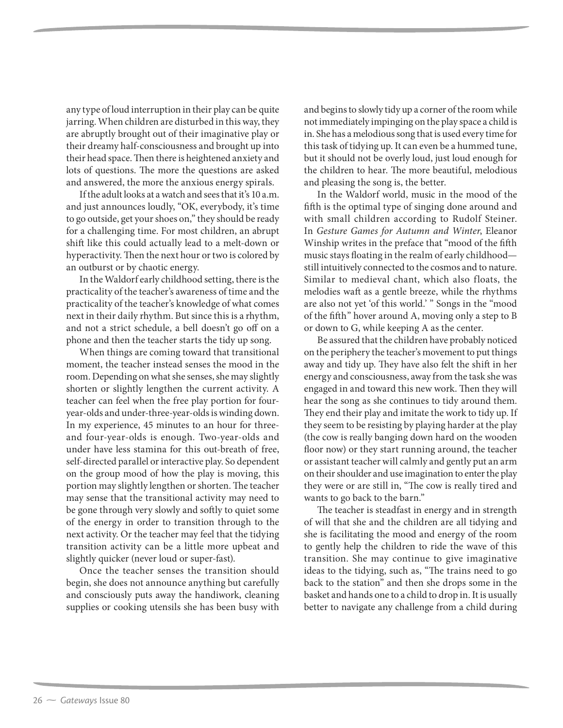any type of loud interruption in their play can be quite jarring. When children are disturbed in this way, they are abruptly brought out of their imaginative play or their dreamy half-consciousness and brought up into their head space. Then there is heightened anxiety and lots of questions. The more the questions are asked and answered, the more the anxious energy spirals.

If the adult looks at a watch and sees that it's 10 a.m. and just announces loudly, "OK, everybody, it's time to go outside, get your shoes on," they should be ready for a challenging time. For most children, an abrupt shift like this could actually lead to a melt-down or hyperactivity. Then the next hour or two is colored by an outburst or by chaotic energy.

In the Waldorf early childhood setting, there is the practicality of the teacher's awareness of time and the practicality of the teacher's knowledge of what comes next in their daily rhythm. But since this is a rhythm, and not a strict schedule, a bell doesn't go off on a phone and then the teacher starts the tidy up song.

When things are coming toward that transitional moment, the teacher instead senses the mood in the room. Depending on what she senses, she may slightly shorten or slightly lengthen the current activity. A teacher can feel when the free play portion for fouryear-olds and under-three-year-olds is winding down. In my experience, 45 minutes to an hour for threeand four-year-olds is enough. Two-year-olds and under have less stamina for this out-breath of free, self-directed parallel or interactive play. So dependent on the group mood of how the play is moving, this portion may slightly lengthen or shorten. The teacher may sense that the transitional activity may need to be gone through very slowly and softly to quiet some of the energy in order to transition through to the next activity. Or the teacher may feel that the tidying transition activity can be a little more upbeat and slightly quicker (never loud or super-fast).

Once the teacher senses the transition should begin, she does not announce anything but carefully and consciously puts away the handiwork, cleaning supplies or cooking utensils she has been busy with

and begins to slowly tidy up a corner of the room while not immediately impinging on the play space a child is in. She has a melodious song that is used every time for this task of tidying up. It can even be a hummed tune, but it should not be overly loud, just loud enough for the children to hear. The more beautiful, melodious and pleasing the song is, the better.

In the Waldorf world, music in the mood of the fifth is the optimal type of singing done around and with small children according to Rudolf Steiner. In *Gesture Games for Autumn and Winter*, Eleanor Winship writes in the preface that "mood of the fifth music stays floating in the realm of early childhood still intuitively connected to the cosmos and to nature. Similar to medieval chant, which also floats, the melodies waft as a gentle breeze, while the rhythms are also not yet 'of this world.' " Songs in the "mood of the fifth" hover around A, moving only a step to B or down to G, while keeping A as the center.

Be assured that the children have probably noticed on the periphery the teacher's movement to put things away and tidy up. They have also felt the shift in her energy and consciousness, away from the task she was engaged in and toward this new work. Then they will hear the song as she continues to tidy around them. They end their play and imitate the work to tidy up. If they seem to be resisting by playing harder at the play (the cow is really banging down hard on the wooden floor now) or they start running around, the teacher or assistant teacher will calmly and gently put an arm on their shoulder and use imagination to enter the play they were or are still in, "The cow is really tired and wants to go back to the barn."

The teacher is steadfast in energy and in strength of will that she and the children are all tidying and she is facilitating the mood and energy of the room to gently help the children to ride the wave of this transition. She may continue to give imaginative ideas to the tidying, such as, "The trains need to go back to the station" and then she drops some in the basket and hands one to a child to drop in. It is usually better to navigate any challenge from a child during